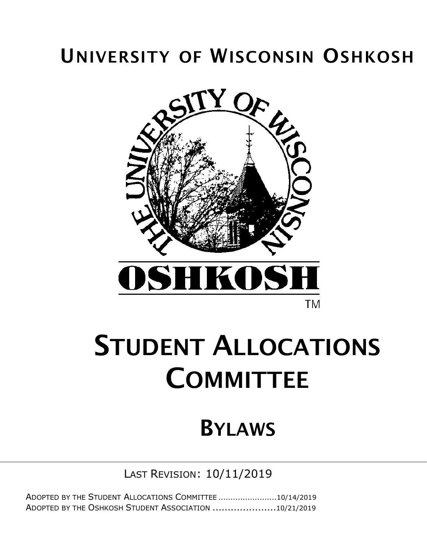## UNIVERSITY OF WISCONSIN OSHKOSH



# STUDENT ALLOCATIONS **COMMITTEE**

## BYLAWS

LAST REVISION: 10/11/2019

ADOPTED BY THE STUDENT ALLOCATIONS COMMITTEE ........................10/14/2019 ADOPTED BY THE OSHKOSH STUDENT ASSOCIATION .....................10/21/2019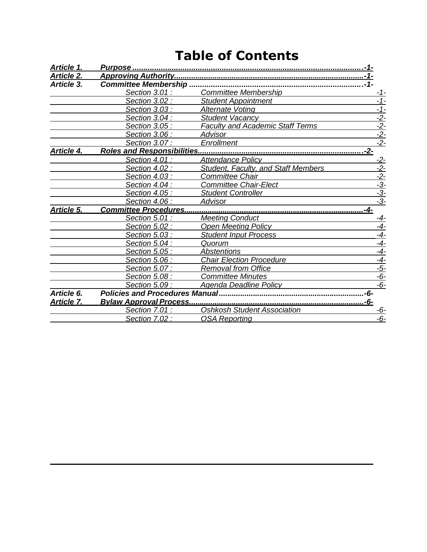## **Table of Contents**

| Article 1.        |                                        |                                            |                                                    |
|-------------------|----------------------------------------|--------------------------------------------|----------------------------------------------------|
| <b>Article 2.</b> |                                        |                                            |                                                    |
| Article 3.        | <b>Committee Membership</b>            |                                            |                                                    |
|                   | Section 3.01 :                         | <b>Committee Membership</b>                | -1-                                                |
|                   | Section 3.02 :                         | <b>Student Appointment</b>                 | $-1-$                                              |
|                   | Section 3.03 :                         | <b>Alternate Voting</b>                    | <u> - 1 -</u>                                      |
|                   | Section 3.04:                          | <b>Student Vacancy</b>                     | $\frac{-2}{2}$<br>$\frac{-2}{2}$<br>$\frac{-2}{2}$ |
|                   | Section 3.05 :                         | <b>Faculty and Academic Staff Terms</b>    |                                                    |
|                   | Section 3.06 :                         | <b>Advisor</b>                             |                                                    |
|                   | Section 3.07:                          | Enrollment                                 |                                                    |
| Article 4.        | <b>Roles and Responsibilities</b>      |                                            | .-2-                                               |
|                   | Section 4.01 :                         | <b>Attendance Policy</b>                   | <u>-2-</u>                                         |
|                   | Section 4.02 :                         | <b>Student, Faculty, and Staff Members</b> | $-2-$                                              |
|                   | Section 4.03 :                         | <b>Committee Chair</b>                     | $\frac{-2}{-3}$<br>$\frac{-3}{-3}$                 |
|                   | Section 4.04 :                         | <b>Committee Chair-Elect</b>               |                                                    |
|                   | Section 4.05 :                         | <b>Student Controller</b>                  |                                                    |
|                   | Section 4.06 :                         | <b>Advisor</b>                             |                                                    |
| Article 5.        | <b>Committee Procedures.</b>           |                                            | -4-                                                |
|                   | Section 5.01 :                         | <b>Meeting Conduct</b>                     | <u>-4-</u>                                         |
|                   | Section 5.02 :                         | <b>Open Meeting Policy</b>                 | $-4-$                                              |
|                   | Section 5.03 :                         | <b>Student Input Process</b>               | $-4-$                                              |
|                   | Section 5.04 :                         | Quorum                                     | $-4-$                                              |
|                   | Section 5.05 :                         | <b>Abstentions</b>                         | $-4-$                                              |
|                   | Section 5.06 :                         | <b>Chair Election Procedure</b>            | $\frac{-4}{-5}$                                    |
|                   | Section 5.07 :                         | <b>Removal from Office</b>                 |                                                    |
|                   | Section 5.08 :                         | <b>Committee Minutes</b>                   | $-6-$                                              |
|                   | Section 5.09 :                         | <b>Agenda Deadline Policy</b>              | $-6-$                                              |
| Article 6.        | <b>Policies and Procedures Manual.</b> |                                            | -6-                                                |
| <b>Article 7.</b> |                                        | <u></u> -6-                                |                                                    |
|                   | Section 7.01 :                         | <b>Oshkosh Student Association</b>         | -6-                                                |
|                   | Section 7.02 :                         | <b>OSA Reporting</b>                       | $-6-$                                              |
|                   |                                        |                                            |                                                    |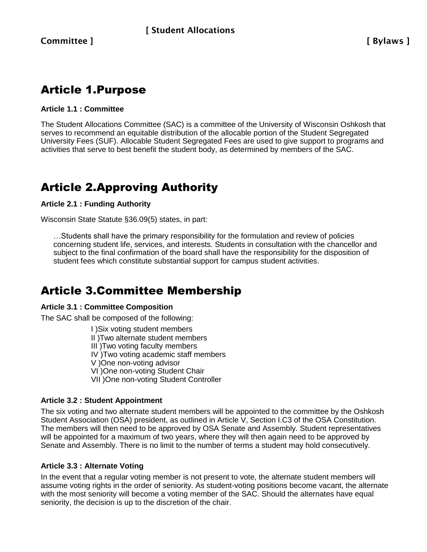### Article 1.Purpose

#### **Article 1.1 : Committee**

The Student Allocations Committee (SAC) is a committee of the University of Wisconsin Oshkosh that serves to recommend an equitable distribution of the allocable portion of the Student Segregated University Fees (SUF). Allocable Student Segregated Fees are used to give support to programs and activities that serve to best benefit the student body, as determined by members of the SAC.

## Article 2.Approving Authority

#### **Article 2.1 : Funding Authority**

Wisconsin State Statute §36.09(5) states, in part:

…Students shall have the primary responsibility for the formulation and review of policies concerning student life, services, and interests. Students in consultation with the chancellor and subject to the final confirmation of the board shall have the responsibility for the disposition of student fees which constitute substantial support for campus student activities.

## Article 3.Committee Membership

#### **Article 3.1 : Committee Composition**

The SAC shall be composed of the following:

I )Six voting student members II )Two alternate student members III )Two voting faculty members IV )Two voting academic staff members V )One non-voting advisor VI )One non-voting Student Chair VII )One non-voting Student Controller

#### **Article 3.2 : Student Appointment**

The six voting and two alternate student members will be appointed to the committee by the Oshkosh Student Association (OSA) president, as outlined in Article V, Section I.C3 of the OSA Constitution. The members will then need to be approved by OSA Senate and Assembly. Student representatives will be appointed for a maximum of two years, where they will then again need to be approved by Senate and Assembly. There is no limit to the number of terms a student may hold consecutively.

#### **Article 3.3 : Alternate Voting**

In the event that a regular voting member is not present to vote, the alternate student members will assume voting rights in the order of seniority. As student-voting positions become vacant, the alternate with the most seniority will become a voting member of the SAC. Should the alternates have equal seniority, the decision is up to the discretion of the chair.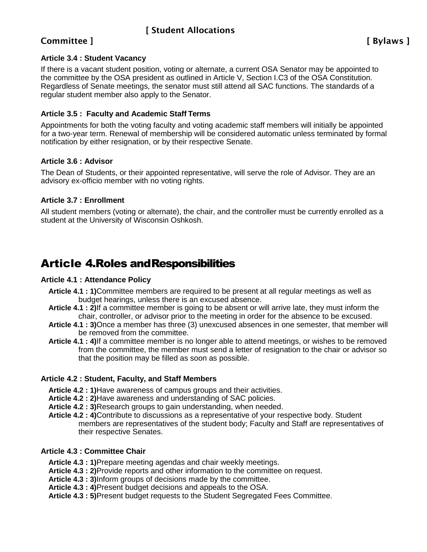#### Committee ] [ Bylaws ]

#### **Article 3.4 : Student Vacancy**

If there is a vacant student position, voting or alternate, a current OSA Senator may be appointed to the committee by the OSA president as outlined in Article V, Section I.C3 of the OSA Constitution. Regardless of Senate meetings, the senator must still attend all SAC functions. The standards of a regular student member also apply to the Senator.

#### **Article 3.5 : Faculty and Academic Staff Terms**

Appointments for both the voting faculty and voting academic staff members will initially be appointed for a two-year term. Renewal of membership will be considered automatic unless terminated by formal notification by either resignation, or by their respective Senate.

#### **Article 3.6 : Advisor**

The Dean of Students, or their appointed representative, will serve the role of Advisor. They are an advisory ex-officio member with no voting rights.

#### **Article 3.7 : Enrollment**

All student members (voting or alternate), the chair, and the controller must be currently enrolled as a student at the University of Wisconsin Oshkosh.

### Article 4.Roles andResponsibilities

#### **Article 4.1 : Attendance Policy**

- **Article 4.1 : 1)**Committee members are required to be present at all regular meetings as well as budget hearings, unless there is an excused absence.
- **Article 4.1 : 2)**If a committee member is going to be absent or will arrive late, they must inform the chair, controller, or advisor prior to the meeting in order for the absence to be excused.
- **Article 4.1 : 3)**Once a member has three (3) unexcused absences in one semester, that member will be removed from the committee.
- **Article 4.1 : 4)**If a committee member is no longer able to attend meetings, or wishes to be removed from the committee, the member must send a letter of resignation to the chair or advisor so that the position may be filled as soon as possible.

#### **Article 4.2 : Student, Faculty, and Staff Members**

- **Article 4.2 : 1)**Have awareness of campus groups and their activities.
- **Article 4.2 : 2)**Have awareness and understanding of SAC policies.
- **Article 4.2 : 3)**Research groups to gain understanding, when needed.
- **Article 4.2 : 4)**Contribute to discussions as a representative of your respective body. Student members are representatives of the student body; Faculty and Staff are representatives of their respective Senates.

#### **Article 4.3 : Committee Chair**

- **Article 4.3 : 1)**Prepare meeting agendas and chair weekly meetings.
- **Article 4.3 : 2)**Provide reports and other information to the committee on request.
- **Article 4.3 : 3)**Inform groups of decisions made by the committee.
- **Article 4.3 : 4)**Present budget decisions and appeals to the OSA.
- **Article 4.3 : 5)**Present budget requests to the Student Segregated Fees Committee.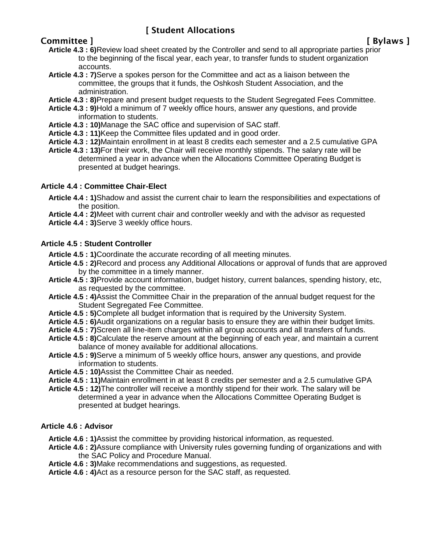#### Committee ] [ Bylaws ]

- **Article 4.3 : 6)**Review load sheet created by the Controller and send to all appropriate parties prior to the beginning of the fiscal year, each year, to transfer funds to student organization accounts.
- **Article 4.3 : 7)**Serve a spokes person for the Committee and act as a liaison between the committee, the groups that it funds, the Oshkosh Student Association, and the administration.
- **Article 4.3 : 8)**Prepare and present budget requests to the Student Segregated Fees Committee.
- **Article 4.3 : 9)**Hold a minimum of 7 weekly office hours, answer any questions, and provide information to students.
- **Article 4.3 : 10)**Manage the SAC office and supervision of SAC staff.
- **Article 4.3 : 11)**Keep the Committee files updated and in good order.
- **Article 4.3 : 12)**Maintain enrollment in at least 8 credits each semester and a 2.5 cumulative GPA
- **Article 4.3 : 13)**For their work, the Chair will receive monthly stipends. The salary rate will be determined a year in advance when the Allocations Committee Operating Budget is presented at budget hearings.

#### **Article 4.4 : Committee Chair-Elect**

- **Article 4.4 : 1)**Shadow and assist the current chair to learn the responsibilities and expectations of the position.
- **Article 4.4 : 2)**Meet with current chair and controller weekly and with the advisor as requested
- **Article 4.4 : 3)**Serve 3 weekly office hours.

#### **Article 4.5 : Student Controller**

- **Article 4.5 : 1)**Coordinate the accurate recording of all meeting minutes.
- **Article 4.5 : 2)**Record and process any Additional Allocations or approval of funds that are approved by the committee in a timely manner.
- **Article 4.5 : 3)**Provide account information, budget history, current balances, spending history, etc, as requested by the committee.
- **Article 4.5 : 4)**Assist the Committee Chair in the preparation of the annual budget request for the Student Segregated Fee Committee.
- **Article 4.5 : 5)**Complete all budget information that is required by the University System.
- **Article 4.5 : 6)**Audit organizations on a regular basis to ensure they are within their budget limits.
- **Article 4.5 : 7)**Screen all line-item charges within all group accounts and all transfers of funds.
- **Article 4.5 : 8)**Calculate the reserve amount at the beginning of each year, and maintain a current balance of money available for additional allocations.
- **Article 4.5 : 9)**Serve a minimum of 5 weekly office hours, answer any questions, and provide information to students.
- **Article 4.5 : 10)**Assist the Committee Chair as needed.
- **Article 4.5 : 11)**Maintain enrollment in at least 8 credits per semester and a 2.5 cumulative GPA
- **Article 4.5 : 12)**The controller will receive a monthly stipend for their work. The salary will be determined a year in advance when the Allocations Committee Operating Budget is presented at budget hearings.

#### **Article 4.6 : Advisor**

- **Article 4.6 : 1)**Assist the committee by providing historical information, as requested.
- **Article 4.6 : 2)**Assure compliance with University rules governing funding of organizations and with the SAC Policy and Procedure Manual.
- **Article 4.6 : 3)**Make recommendations and suggestions, as requested.
- **Article 4.6 : 4)**Act as a resource person for the SAC staff, as requested.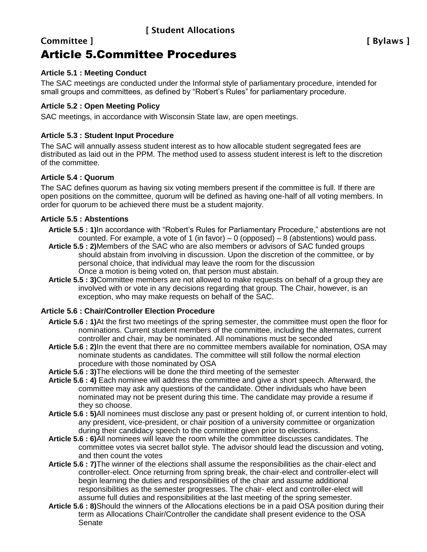## Committee ] [ Bylaws ]

## Article 5.Committee Procedures

#### **Article 5.1 : Meeting Conduct**

The SAC meetings are conducted under the Informal style of parliamentary procedure, intended for small groups and committees, as defined by "Robert's Rules" for parliamentary procedure.

#### **Article 5.2 : Open Meeting Policy**

SAC meetings, in accordance with Wisconsin State law, are open meetings.

#### **Article 5.3 : Student Input Procedure**

The SAC will annually assess student interest as to how allocable student segregated fees are distributed as laid out in the PPM. The method used to assess student interest is left to the discretion of the committee.

#### **Article 5.4 : Quorum**

The SAC defines quorum as having six voting members present if the committee is full. If there are open positions on the committee, quorum will be defined as having one-half of all voting members. In order for quorum to be achieved there must be a student majority.

#### **Article 5.5 : Abstentions**

- **Article 5.5 : 1)**In accordance with "Robert's Rules for Parliamentary Procedure," abstentions are not counted. For example, a vote of 1 (in favor) – 0 (opposed) – 8 (abstentions) would pass.
- **Article 5.5 : 2)**Members of the SAC who are also members or advisors of SAC funded groups should abstain from involving in discussion. Upon the discretion of the committee, or by personal choice, that individual may leave the room for the discussion Once a motion is being voted on, that person must abstain.
- **Article 5.5 : 3)**Committee members are not allowed to make requests on behalf of a group they are involved with or vote in any decisions regarding that group. The Chair, however, is an exception, who may make requests on behalf of the SAC.

#### **Article 5.6 : Chair/Controller Election Procedure**

- **Article 5.6 : 1)**At the first two meetings of the spring semester, the committee must open the floor for nominations. Current student members of the committee, including the alternates, current controller and chair, may be nominated. All nominations must be seconded
- **Article 5.6 : 2)**In the event that there are no committee members available for nomination, OSA may nominate students as candidates. The committee will still follow the normal election procedure with those nominated by OSA
- **Article 5.6 : 3)**The elections will be done the third meeting of the semester
- **Article 5.6 : 4)** Each nominee will address the committee and give a short speech. Afterward, the committee may ask any questions of the candidate. Other individuals who have been nominated may not be present during this time. The candidate may provide a resume if they so choose.
- **Article 5.6 : 5)**All nominees must disclose any past or present holding of, or current intention to hold, any president, vice-president, or chair position of a university committee or organization during their candidacy speech to the committee given prior to elections.
- **Article 5.6 : 6)**All nominees will leave the room while the committee discusses candidates. The committee votes via secret ballot style. The advisor should lead the discussion and voting, and then count the votes
- **Article 5.6 : 7)**The winner of the elections shall assume the responsibilities as the chair-elect and controller-elect. Once returning from spring break, the chair-elect and controller-elect will begin learning the duties and responsibilities of the chair and assume additional responsibilities as the semester progresses. The chair- elect and controller-elect will assume full duties and responsibilities at the last meeting of the spring semester.
- **Article 5.6 : 8)**Should the winners of the Allocations elections be in a paid OSA position during their term as Allocations Chair/Controller the candidate shall present evidence to the OSA Senate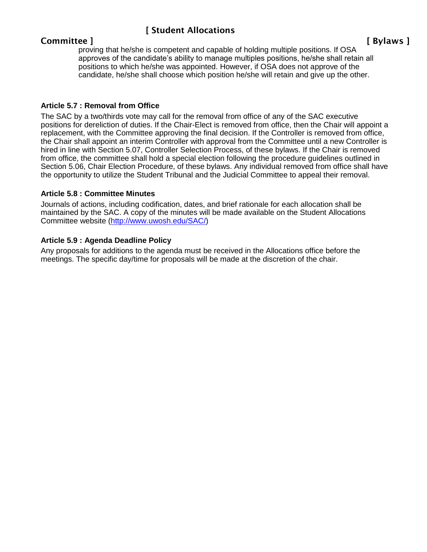#### Committee ] [ Bylaws ]

proving that he/she is competent and capable of holding multiple positions. If OSA approves of the candidate's ability to manage multiples positions, he/she shall retain all positions to which he/she was appointed. However, if OSA does not approve of the candidate, he/she shall choose which position he/she will retain and give up the other.

#### **Article 5.7 : Removal from Office**

The SAC by a two/thirds vote may call for the removal from office of any of the SAC executive positions for dereliction of duties. If the Chair-Elect is removed from office, then the Chair will appoint a replacement, with the Committee approving the final decision. If the Controller is removed from office, the Chair shall appoint an interim Controller with approval from the Committee until a new Controller is hired in line with Section 5.07, Controller Selection Process, of these bylaws. If the Chair is removed from office, the committee shall hold a special election following the procedure guidelines outlined in Section 5.06, Chair Election Procedure, of these bylaws. Any individual removed from office shall have the opportunity to utilize the Student Tribunal and the Judicial Committee to appeal their removal.

#### **Article 5.8 : Committee Minutes**

Journals of actions, including codification, dates, and brief rationale for each allocation shall be maintained by the SAC. A copy of the minutes will be made available on the Student Allocations Committee website [\(http://www.uwosh.edu/SAC/\)](http://www.uwosh.edu/SAC/))

#### **Article 5.9 : Agenda Deadline Policy**

Any proposals for additions to the agenda must be received in the Allocations office before the meetings. The specific day/time for proposals will be made at the discretion of the chair.